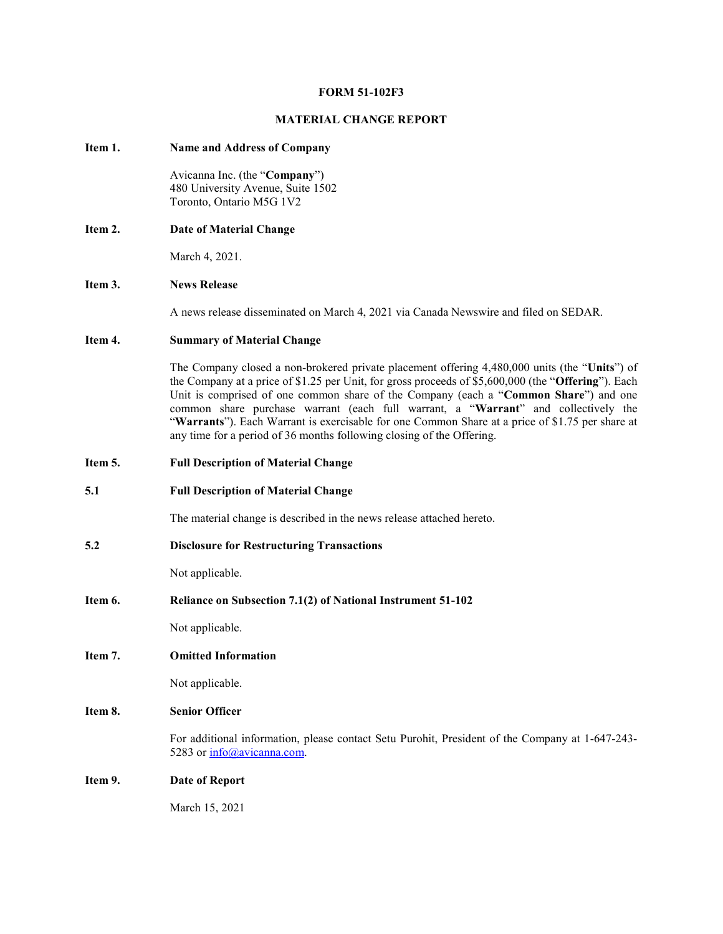#### FORM 51-102F3

#### MATERIAL CHANGE REPORT

#### Item 1. Name and Address of Company

Avicanna Inc. (the "Company") 480 University Avenue, Suite 1502 Toronto, Ontario M5G 1V2

Item 2. Date of Material Change

March 4, 2021.

## Item 3. News Release

A news release disseminated on March 4, 2021 via Canada Newswire and filed on SEDAR.

## Item 4. Summary of Material Change

The Company closed a non-brokered private placement offering 4,480,000 units (the "Units") of the Company at a price of \$1.25 per Unit, for gross proceeds of \$5,600,000 (the "Offering"). Each Unit is comprised of one common share of the Company (each a "Common Share") and one common share purchase warrant (each full warrant, a "Warrant" and collectively the "Warrants"). Each Warrant is exercisable for one Common Share at a price of \$1.75 per share at any time for a period of 36 months following closing of the Offering.

- Item 5. Full Description of Material Change
- 5.1 Full Description of Material Change

The material change is described in the news release attached hereto.

5.2 Disclosure for Restructuring Transactions

Not applicable.

Item 6. Reliance on Subsection 7.1(2) of National Instrument 51-102

Not applicable.

Item 7. Omitted Information

Not applicable.

## Item 8. Senior Officer

For additional information, please contact Setu Purohit, President of the Company at 1-647-243- 5283 or  $info(\omega)$ avicanna.com.

### Item 9. Date of Report

March 15, 2021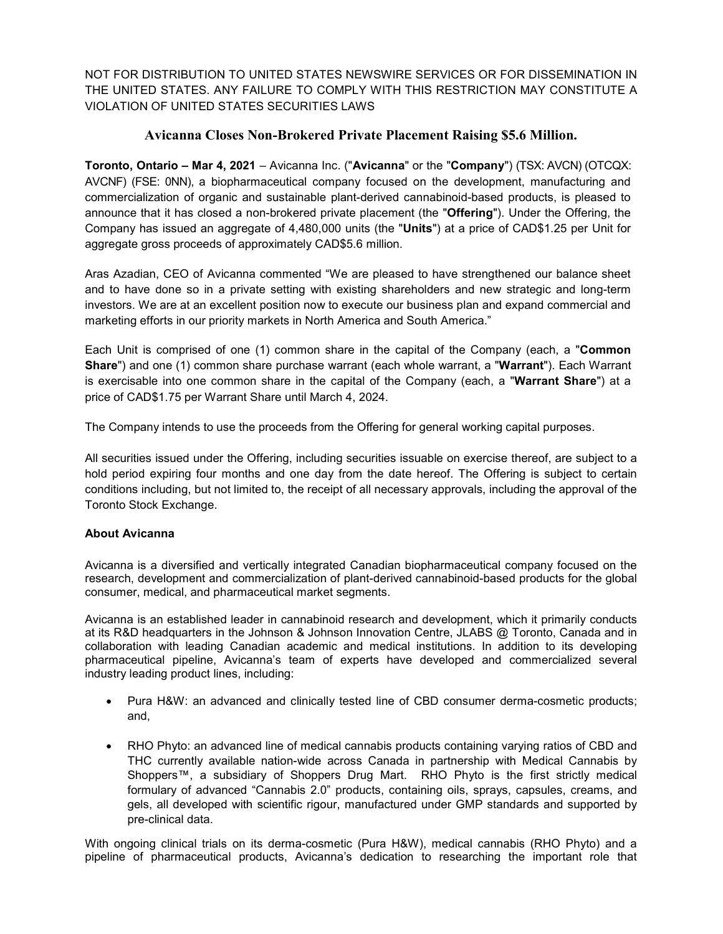NOT FOR DISTRIBUTION TO UNITED STATES NEWSWIRE SERVICES OR FOR DISSEMINATION IN THE UNITED STATES. ANY FAILURE TO COMPLY WITH THIS RESTRICTION MAY CONSTITUTE A VIOLATION OF UNITED STATES SECURITIES LAWS

# Avicanna Closes Non-Brokered Private Placement Raising \$5.6 Million.

Toronto, Ontario – Mar 4, 2021 – Avicanna Inc. ("Avicanna" or the "Company") (TSX: AVCN) (OTCQX: AVCNF) (FSE: 0NN), a biopharmaceutical company focused on the development, manufacturing and commercialization of organic and sustainable plant-derived cannabinoid-based products, is pleased to announce that it has closed a non-brokered private placement (the "Offering"). Under the Offering, the Company has issued an aggregate of 4,480,000 units (the "Units") at a price of CAD\$1.25 per Unit for aggregate gross proceeds of approximately CAD\$5.6 million.

Aras Azadian, CEO of Avicanna commented "We are pleased to have strengthened our balance sheet and to have done so in a private setting with existing shareholders and new strategic and long-term investors. We are at an excellent position now to execute our business plan and expand commercial and marketing efforts in our priority markets in North America and South America."

Each Unit is comprised of one (1) common share in the capital of the Company (each, a "Common Share") and one (1) common share purchase warrant (each whole warrant, a "Warrant"). Each Warrant is exercisable into one common share in the capital of the Company (each, a "Warrant Share") at a price of CAD\$1.75 per Warrant Share until March 4, 2024.

The Company intends to use the proceeds from the Offering for general working capital purposes.

All securities issued under the Offering, including securities issuable on exercise thereof, are subject to a hold period expiring four months and one day from the date hereof. The Offering is subject to certain conditions including, but not limited to, the receipt of all necessary approvals, including the approval of the Toronto Stock Exchange.

## About Avicanna

Avicanna is a diversified and vertically integrated Canadian biopharmaceutical company focused on the research, development and commercialization of plant-derived cannabinoid-based products for the global consumer, medical, and pharmaceutical market segments.

Avicanna is an established leader in cannabinoid research and development, which it primarily conducts at its R&D headquarters in the Johnson & Johnson Innovation Centre, JLABS @ Toronto, Canada and in collaboration with leading Canadian academic and medical institutions. In addition to its developing pharmaceutical pipeline, Avicanna's team of experts have developed and commercialized several industry leading product lines, including:

- Pura H&W: an advanced and clinically tested line of CBD consumer derma-cosmetic products; and,
- RHO Phyto: an advanced line of medical cannabis products containing varying ratios of CBD and THC currently available nation-wide across Canada in partnership with Medical Cannabis by Shoppers™, a subsidiary of Shoppers Drug Mart. RHO Phyto is the first strictly medical formulary of advanced "Cannabis 2.0" products, containing oils, sprays, capsules, creams, and gels, all developed with scientific rigour, manufactured under GMP standards and supported by pre-clinical data.

With ongoing clinical trials on its derma-cosmetic (Pura H&W), medical cannabis (RHO Phyto) and a pipeline of pharmaceutical products, Avicanna's dedication to researching the important role that